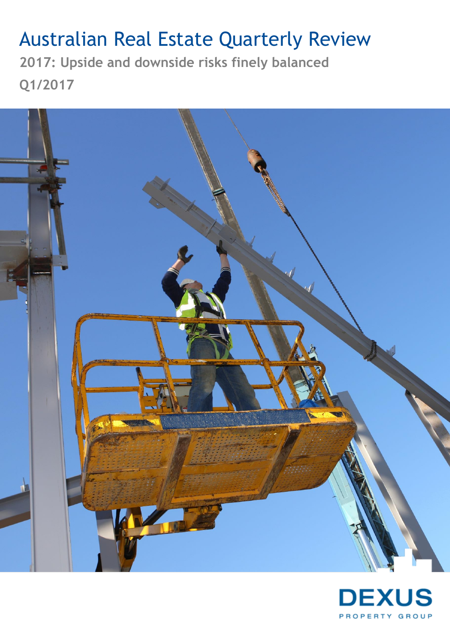# Australian Real Estate Quarterly Review

**2017: Upside and downside risks finely balanced Q1/2017**



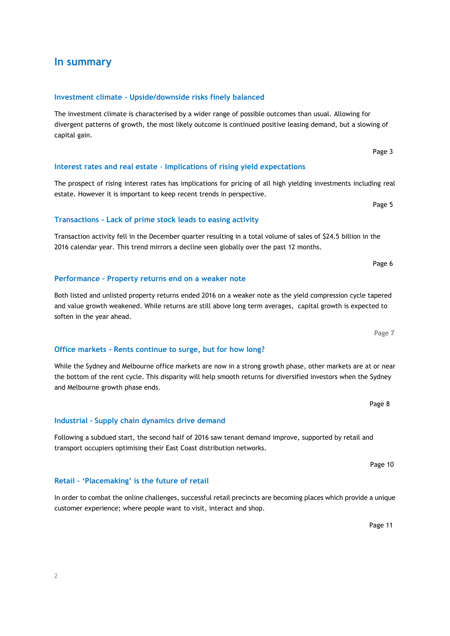## **In summary**

#### **Investment climate – Upside/downside risks finely balanced**

**Transactions - Lack of prime stock leads to easing activity** 

**Performance – Property returns end on a weaker note** 

The investment climate is characterised by a wider range of possible outcomes than usual. Allowing for divergent patterns of growth, the most likely outcome is continued positive leasing demand, but a slowing of capital gain.

#### **Interest rates and real estate** - **Implications of rising yield expectations**

The prospect of rising interest rates has implications for pricing of all high yielding investments including real estate. However it is important to keep recent trends in perspective.

Transaction activity fell in the December quarter resulting in a total volume of sales of \$24.5 billion in the 2016 calendar year. This trend mirrors a decline seen globally over the past 12 months.

Both listed and unlisted property returns ended 2016 on a weaker note as the yield compression cycle tapered and value growth weakened. While returns are still above long term averages, capital growth is expected to soften in the year ahead.

#### **Office markets - Rents continue to surge, but for how long?**

**Retail – 'Placemaking' is the future of retail**

While the Sydney and Melbourne office markets are now in a strong growth phase, other markets are at or near the bottom of the rent cycle. This disparity will help smooth returns for diversified investors when the Sydney and Melbourne growth phase ends.

**Industrial – Supply chain dynamics drive demand**

Following a subdued start, the second half of 2016 saw tenant demand improve, supported by retail and transport occupiers optimising their East Coast distribution networks.

In order to combat the online challenges, successful retail precincts are becoming places which provide a unique customer experience; where people want to visit, interact and shop.

Page 11

Page 7

Page 8

Page 10

Page 3

Page 5 (1999) and the state of the state of the state of the state of the state of the state of the state of the state of the state of the state of the state of the state of the state of the state of the state of the state

Page 6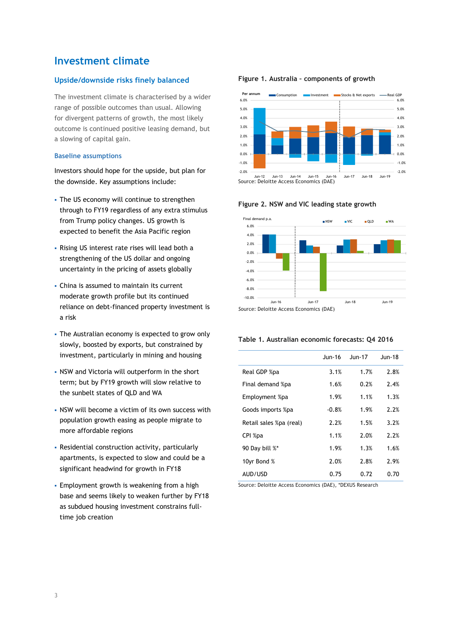## **Investment climate**

#### **Upside/downside risks finely balanced**

The investment climate is characterised by a wider range of possible outcomes than usual. Allowing for divergent patterns of growth, the most likely outcome is continued positive leasing demand, but a slowing of capital gain.

#### **Baseline assumptions**

Investors should hope for the upside, but plan for the downside. Key assumptions include:

- The US economy will continue to strengthen through to FY19 regardless of any extra stimulus from Trump policy changes. US growth is expected to benefit the Asia Pacific region
- Rising US interest rate rises will lead both a strengthening of the US dollar and ongoing uncertainty in the pricing of assets globally
- China is assumed to maintain its current moderate growth profile but its continued reliance on debt-financed property investment is a risk
- The Australian economy is expected to grow only slowly, boosted by exports, but constrained by investment, particularly in mining and housing
- NSW and Victoria will outperform in the short term; but by FY19 growth will slow relative to the sunbelt states of QLD and WA
- NSW will become a victim of its own success with population growth easing as people migrate to more affordable regions
- Residential construction activity, particularly apartments, is expected to slow and could be a significant headwind for growth in FY18
- Employment growth is weakening from a high base and seems likely to weaken further by FY18 as subdued housing investment constrains fulltime job creation

#### **Figure 1. Australia – components of growth**





#### **Figure 2. NSW and VIC leading state growth**

#### **Table 1. Australian economic forecasts: Q4 2016**

|                         | $J$ un-16 | $J$ un-17 | $J$ un-18 |
|-------------------------|-----------|-----------|-----------|
| Real GDP %pa            | 3.1%      | 1.7%      | 2.8%      |
| Final demand %pa        | 1.6%      | 0.2%      | 2.4%      |
| Employment %pa          | 1.9%      | 1.1%      | 1.3%      |
| Goods imports %pa       | $-0.8%$   | 1.9%      | 2.2%      |
| Retail sales %pa (real) | 2.2%      | 1.5%      | 3.2%      |
| CPI %pa                 | 1.1%      | 2.0%      | 2.2%      |
| 90 Day bill %*          | 1.9%      | 1.3%      | 1.6%      |
| 10yr Bond %             | 2.0%      | 2.8%      | 2.9%      |
| AUD/USD                 | 0.75      | 0.72      | 0.70      |

Source: Deloitte Access Economics (DAE), \*DEXUS Research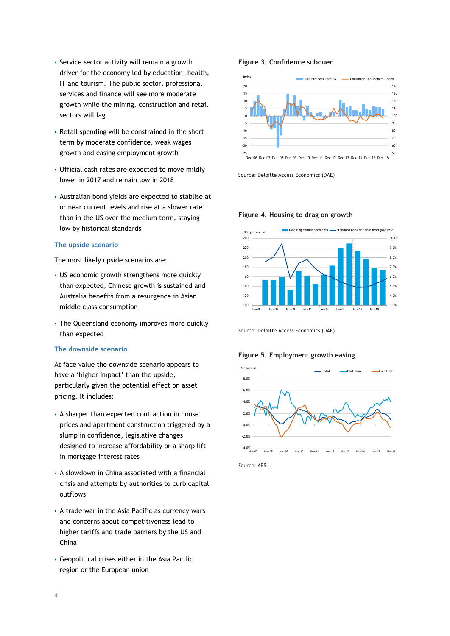- Service sector activity will remain a growth driver for the economy led by education, health, IT and tourism. The public sector, professional services and finance will see more moderate growth while the mining, construction and retail sectors will lag
- Retail spending will be constrained in the short term by moderate confidence, weak wages growth and easing employment growth
- Official cash rates are expected to move mildly lower in 2017 and remain low in 2018
- Australian bond yields are expected to stablise at or near current levels and rise at a slower rate than in the US over the medium term, staying low by historical standards

#### **The upside scenario**

The most likely upside scenarios are:

- US economic growth strengthens more quickly than expected, Chinese growth is sustained and Australia benefits from a resurgence in Asian middle class consumption
- The Queensland economy improves more quickly than expected

#### **The downside scenario**

At face value the downside scenario appears to have a 'higher impact' than the upside, particularly given the potential effect on asset pricing. It includes:

- A sharper than expected contraction in house prices and apartment construction triggered by a slump in confidence, legislative changes designed to increase affordability or a sharp lift in mortgage interest rates
- A slowdown in China associated with a financial crisis and attempts by authorities to curb capital outflows
- A trade war in the Asia Pacific as currency wars and concerns about competitiveness lead to higher tariffs and trade barriers by the US and China
- Geopolitical crises either in the Asia Pacific region or the European union

#### **Figure 3. Confidence subdued**



Source: Deloitte Access Economics (DAE)

#### **Figure 4. Housing to drag on growth**



*S*ource: Deloitte Access Economics (DAE)

#### **Figure 5. Employment growth easing**



*S*ource: ABS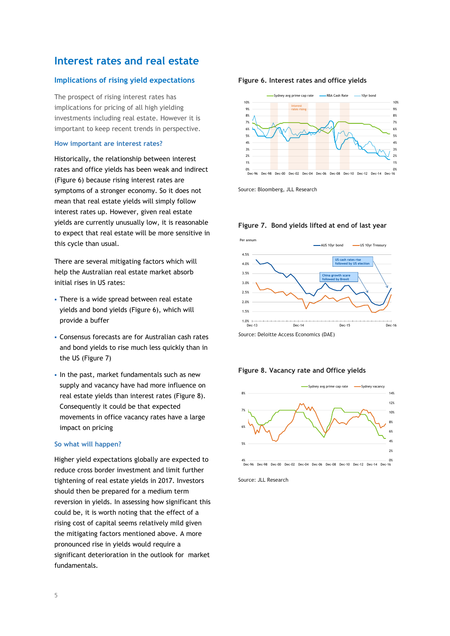## **Interest rates and real estate**

#### **Implications of rising yield expectations**

The prospect of rising interest rates has implications for pricing of all high yielding investments including real estate. However it is important to keep recent trends in perspective.

#### **How important are interest rates?**

Historically, the relationship between interest rates and office yields has been weak and indirect (Figure 6) because rising interest rates are symptoms of a stronger economy. So it does not mean that real estate yields will simply follow interest rates up. However, given real estate yields are currently unusually low, it is reasonable to expect that real estate will be more sensitive in this cycle than usual.

There are several mitigating factors which will help the Australian real estate market absorb initial rises in US rates:

- **There is a wide spread between real estate** yields and bond yields (Figure 6), which will provide a buffer
- Consensus forecasts are for Australian cash rates and bond yields to rise much less quickly than in the US (Figure 7)
- In the past, market fundamentals such as new supply and vacancy have had more influence on real estate yields than interest rates (Figure 8). Consequently it could be that expected movements in office vacancy rates have a large impact on pricing

#### **So what will happen?**

Higher yield expectations globally are expected to reduce cross border investment and limit further tightening of real estate yields in 2017. Investors should then be prepared for a medium term reversion in yields. In assessing how significant this could be, it is worth noting that the effect of a rising cost of capital seems relatively mild given the mitigating factors mentioned above. A more pronounced rise in yields would require a significant deterioration in the outlook for market fundamentals.

#### **Figure 6. Interest rates and office yields**



Source: Bloomberg, JLL Research



#### **Figure 7. Bond yields lifted at end of last year**

#### **Figure 8. Vacancy rate and Office yields**



Source: JLL Research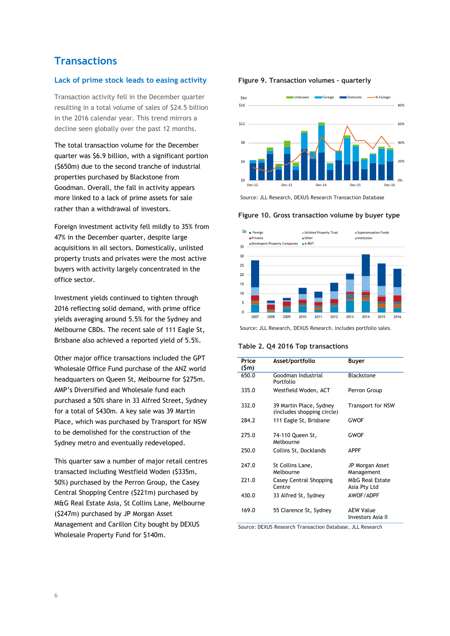## **Transactions**

#### **Lack of prime stock leads to easing activity**

Transaction activity fell in the December quarter resulting in a total volume of sales of \$24.5 billion in the 2016 calendar year. This trend mirrors a decline seen globally over the past 12 months.

The total transaction volume for the December quarter was \$6.9 billion, with a significant portion (\$650m) due to the second tranche of industrial properties purchased by Blackstone from Goodman. Overall, the fall in activity appears more linked to a lack of prime assets for sale rather than a withdrawal of investors.

Foreign investment activity fell mildly to 35% from 47% in the December quarter, despite large acquisitions in all sectors. Domestically, unlisted property trusts and privates were the most active buyers with activity largely concentrated in the office sector.

Investment yields continued to tighten through 2016 reflecting solid demand, with prime office yields averaging around 5.5% for the Sydney and Melbourne CBDs. The recent sale of 111 Eagle St, Brisbane also achieved a reported yield of 5.5%.

Other major office transactions included the GPT Wholesale Office Fund purchase of the ANZ world headquarters on Queen St, Melbourne for \$275m. AMP's Diversified and Wholesale fund each purchased a 50% share in 33 Alfred Street, Sydney for a total of \$430m. A key sale was 39 Martin Place, which was purchased by Transport for NSW to be demolished for the construction of the Sydney metro and eventually redeveloped.

This quarter saw a number of major retail centres transacted including Westfield Woden (\$335m, 50%) purchased by the Perron Group, the Casey Central Shopping Centre (\$221m) purchased by M&G Real Estate Asia, St Collins Lane, Melbourne (\$247m) purchased by JP Morgan Asset Management and Carillon City bought by DEXUS Wholesale Property Fund for \$140m.





Source: JLL Research, DEXUS Research Transaction Database

**Figure 10. Gross transaction volume by buyer type**



Source: JLL Research, DEXUS Research. Includes portfolio sales.

**Table 2. Q4 2016 Top transactions** 

| Price<br>(\$m) | Asset/portfolio                                       | Buyer                                      |
|----------------|-------------------------------------------------------|--------------------------------------------|
| 650.0          | Goodman Industrial<br>Portfolio                       | Blackstone                                 |
| 335.0          | Westfield Woden, ACT                                  | Perron Group                               |
| 332.0          | 39 Martin Place, Sydney<br>(includes shopping circle) | Transport for NSW                          |
| 284.2          | 111 Eagle St, Brisbane                                | GWOF                                       |
| 275.0          | 74-110 Queen St,<br>Melbourne                         | <b>GWOF</b>                                |
| 250.0          | Collins St, Docklands                                 | <b>APPF</b>                                |
| 247.0          | St Collins Lane,<br>Melbourne                         | JP Morgan Asset<br>Management              |
| 771.0          | Casey Central Shopping<br>Centre                      | <b>M&amp;G Real Estate</b><br>Asia Pty Ltd |
| 430.0          | 33 Alfred St, Sydney                                  | AWOF/ADPF                                  |
| 169.0          | 55 Clarence St, Sydney                                | <b>AEW Value</b><br>Investors Asia II      |

Source: DEXUS Research Transaction Database, JLL Research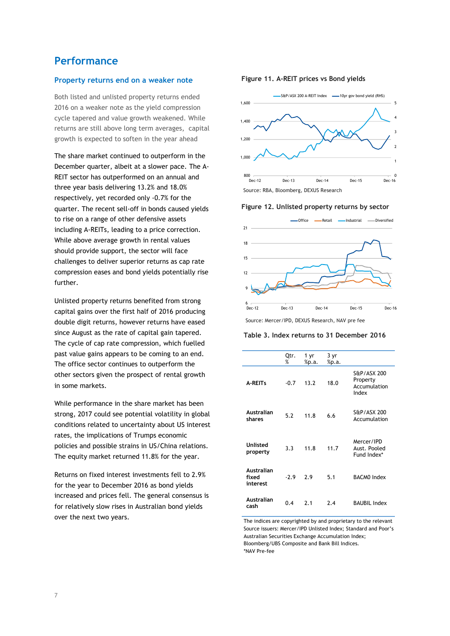### **Performance**

#### **Property returns end on a weaker note**

Both listed and unlisted property returns ended 2016 on a weaker note as the yield compression cycle tapered and value growth weakened. While returns are still above long term averages, capital growth is expected to soften in the year ahead

The share market continued to outperform in the December quarter, albeit at a slower pace. The A-REIT sector has outperformed on an annual and three year basis delivering 13.2% and 18.0% respectively, yet recorded only -0.7% for the quarter. The recent sell-off in bonds caused yields to rise on a range of other defensive assets including A-REITs, leading to a price correction. While above average growth in rental values should provide support, the sector will face challenges to deliver superior returns as cap rate compression eases and bond yields potentially rise further.

Unlisted property returns benefited from strong capital gains over the first half of 2016 producing double digit returns, however returns have eased since August as the rate of capital gain tapered. The cycle of cap rate compression, which fuelled past value gains appears to be coming to an end. The office sector continues to outperform the other sectors given the prospect of rental growth in some markets.

While performance in the share market has been strong, 2017 could see potential volatility in global conditions related to uncertainty about US interest rates, the implications of Trumps economic policies and possible strains in US/China relations. The equity market returned 11.8% for the year.

Returns on fixed interest investments fell to 2.9% for the year to December 2016 as bond yields increased and prices fell. The general consensus is for relatively slow rises in Australian bond yields over the next two years.

#### **Figure 11. A-REIT prices vs Bond yields**



**Figure 12. Unlisted property returns by sector**



Source: Mercer/IPD, DEXUS Research, NAV pre fee

#### **Table 3. Index returns to 31 December 2016**

|                                 | Qtr.<br>% | 1 yr<br>%p.a. | 3 yr<br>%p.a. |                                                  |
|---------------------------------|-----------|---------------|---------------|--------------------------------------------------|
| <b>A-REITs</b>                  | $-0.7$    | 13.2          | 18.0          | S&P/ASX 200<br>Property<br>Accumulation<br>Index |
| Australian<br>shares            | 5.2       | 11.8          | 6.6           | S&P/ASX 200<br>Accumulation                      |
| Unlisted<br>property            | 3.3       | 11.8          | 11.7          | Mercer/IPD<br>Aust. Pooled<br>Fund Index*        |
| Australian<br>fixed<br>interest | $-2.9$    | 2.9           | 5.1           | <b>BACMO Index</b>                               |
| Australian<br>cash              | 0.4       | 7.1           | 7.4           | <b>BAUBIL Index</b>                              |

The indices are copyrighted by and proprietary to the relevant Source issuers: Mercer/IPD Unlisted Index; Standard and Poor's Australian Securities Exchange Accumulation Index; Bloomberg/UBS Composite and Bank Bill Indices. \*NAV Pre-fee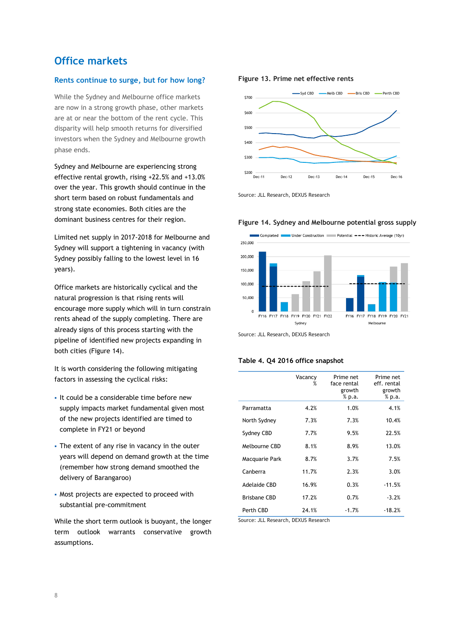## **Office markets**

#### **Rents continue to surge, but for how long?**

While the Sydney and Melbourne office markets are now in a strong growth phase, other markets are at or near the bottom of the rent cycle. This disparity will help smooth returns for diversified investors when the Sydney and Melbourne growth phase ends.

Sydney and Melbourne are experiencing strong effective rental growth, rising +22.5% and +13.0% over the year. This growth should continue in the short term based on robust fundamentals and strong state economies. Both cities are the dominant business centres for their region.

Limited net supply in 2017-2018 for Melbourne and Sydney will support a tightening in vacancy (with Sydney possibly falling to the lowest level in 16 years).

Office markets are historically cyclical and the natural progression is that rising rents will encourage more supply which will in turn constrain rents ahead of the supply completing. There are already signs of this process starting with the pipeline of identified new projects expanding in both cities (Figure 14).

It is worth considering the following mitigating factors in assessing the cyclical risks:

- It could be a considerable time before new supply impacts market fundamental given most of the new projects identified are timed to complete in FY21 or beyond
- The extent of any rise in vacancy in the outer years will depend on demand growth at the time (remember how strong demand smoothed the delivery of Barangaroo)
- Most projects are expected to proceed with substantial pre-commitment

While the short term outlook is buoyant, the longer term outlook warrants conservative growth assumptions.

#### **Figure 13. Prime net effective rents**



Source: JLL Research, DEXUS Research

#### **Figure 14. Sydney and Melbourne potential gross supply**



Source: JLL Research, DEXUS Research

#### **Table 4. Q4 2016 office snapshot**

|                     | Vacancy<br>% | Prime net<br>face rental<br>growth<br>% p.a. | Prime net<br>eff. rental<br>growth<br>% p.a. |
|---------------------|--------------|----------------------------------------------|----------------------------------------------|
| Parramatta          | 4.2%         | 1.0%                                         | 4.1%                                         |
| North Sydney        | 7.3%         | 7.3%                                         | 10.4%                                        |
| Sydney CBD          | 7.7%         | 9.5%                                         | 22.5%                                        |
| Melbourne CBD       | 8.1%         | 8.9%                                         | 13.0%                                        |
| Macquarie Park      | 8.7%         | 3.7%                                         | 7.5%                                         |
| Canberra            | 11.7%        | 2.3%                                         | 3.0%                                         |
| Adelaide CBD        | 16.9%        | 0.3%                                         | $-11.5%$                                     |
| <b>Brisbane CBD</b> | 17.2%        | 0.7%                                         | $-3.2%$                                      |
| Perth CBD           | 24.1%        | $-1.7%$                                      | $-18.2%$                                     |

Source: JLL Research, DEXUS Research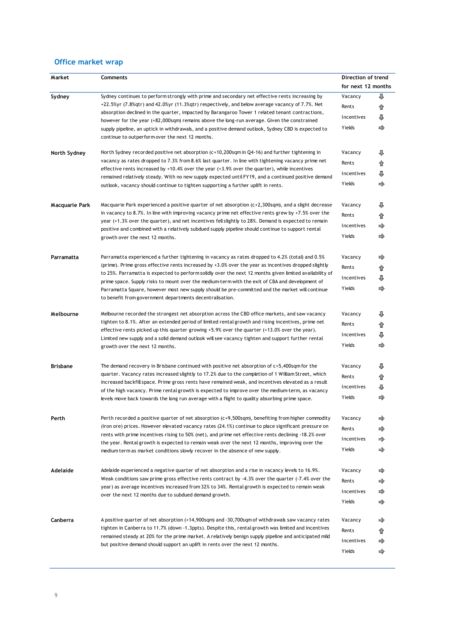## **Office market wrap**

| Market          | Comments                                                                                                                                                                                                     | Direction of trend |                    |
|-----------------|--------------------------------------------------------------------------------------------------------------------------------------------------------------------------------------------------------------|--------------------|--------------------|
|                 |                                                                                                                                                                                                              |                    | for next 12 months |
| Sydney          | Sydney continues to perform strongly with prime and secondary net effective rents increasing by                                                                                                              | Vacancy            | J                  |
|                 | +22.5%yr (7.8%gtr) and 42.0%yr (11.3%gtr) respectively, and below average vacancy of 7.7%. Net                                                                                                               | Rents              | ⇑                  |
|                 | absorption declined in the quarter, impacted by Barangaroo Tower 1 related tenant contractions,                                                                                                              | Incentives         |                    |
|                 | however for the year (+82,000sqm) remains above the long-run average. Given the constrained<br>supply pipeline, an uptick in withdrawals, and a positive demand outlook, Sydney CBD is expected to           | Yields             | ⇨                  |
|                 | continue to outperform over the next 12 months.                                                                                                                                                              |                    |                    |
|                 |                                                                                                                                                                                                              |                    |                    |
| North Sydney    | North Sydney recorded positive net absorption $(c+10, 200$ sqm in Q4-16) and further tightening in<br>vacancy as rates dropped to 7.3% from 8.6% last quarter. In line with tightening vacancy prime net     | Vacancy            |                    |
|                 | effective rents increased by $+10.4\%$ over the year $(+3.9\%$ over the quarter), while incentives                                                                                                           | Rents              |                    |
|                 | remained relatively steady. With no new supply expected until FY19, and a continued positive demand                                                                                                          | Incentives         |                    |
|                 | outlook, vacancy should continue to tighten supporting a further uplift in rents.                                                                                                                            | Yields             | ⇨                  |
| Macquarie Park  | Macquarie Park experienced a positive quarter of net absorption $(c+2,300$ sqm), and a slight decrease                                                                                                       | Vacancy            |                    |
|                 | in vacancy to 8.7%. In line with improving vacancy prime net effective rents grew by $+7.5\%$ over the                                                                                                       | Rents              |                    |
|                 | year (+1.3% over the quarter), and net incentives fell slightly to 28%. Demand is expected to remain<br>positive and combined with a relatively subdued supply pipeline should continue to support rental    | Incentives         |                    |
|                 | growth over the next 12 months.                                                                                                                                                                              | Yields             | ⇨                  |
| Parramatta      | Rarramatta experienced a further tightening in vacancy as rates dropped to 4.2% (total) and 0.5%                                                                                                             | Vacancy            |                    |
|                 | (prime). Prime gross effective rents increased by $+3.0\%$ over the year as incentives dropped slightly                                                                                                      | Rents              |                    |
|                 | to 25%. Parramatta is expected to perform solidly over the next 12 months given limited availability of                                                                                                      | Incentives         |                    |
|                 | prime space. Supply risks to mount over the medium-term with the exit of CBA and development of                                                                                                              |                    |                    |
|                 | Parramatta Square, however most new supply should be pre-committed and the market will continue<br>to benefit from government departments decentralisation.                                                  | Yields             | ⇨                  |
| Melbourne       | Melbourne recorded the strongest net absorption across the CBD office markets, and saw vacancy                                                                                                               | Vacancy            |                    |
|                 | tighten to 8.1%. After an extended period of limited rental growth and rising incentives, prime net                                                                                                          |                    |                    |
|                 | effective rents picked up this quarter growing $+5.9\%$ over the quarter $(+13.0\%$ over the year).<br>Limited new supply and a solid demand outlook will see vacancy tighten and support further rental     | Incentives         |                    |
|                 | growth over the next 12 months.                                                                                                                                                                              | Yields             | ⇨                  |
| <b>Brisbane</b> | The demand recovery in Brisbane continued with positive net absorption of $c+5$ , 400sqm for the                                                                                                             | Vacancy            |                    |
|                 | quarter. Vacancy rates increased slightly to 17.2% due to the completion of 1 William Street, which                                                                                                          | Rents              |                    |
|                 | increased backfill space. Prime gross rents have remained weak, and incentives elevated as a result                                                                                                          | Incentives         |                    |
|                 | of the high vacancy. Prime rental growth is expected to improve over the medium-term, as vacancy                                                                                                             | Yields             | ⇨                  |
|                 | levels move back towards the long run average with a flight to quality absorbing prime space.                                                                                                                |                    |                    |
| Perth           | Perth recorded a positive quarter of net absorption (c+9,500sqm), benefiting from higher commodity                                                                                                           | Vacancy            | ⇨                  |
|                 | (iron ore) prices. However elevated vacancy rates (24.1%) continue to place significant pressure on<br>rents with prime incentives rising to 50% (net), and prime net effective rents declining -18.2% over  | Rents              | ⇨                  |
|                 | the year. Rental growth is expected to remain weak over the next 12 months, improving over the                                                                                                               | Incentives         |                    |
|                 | medium term as market conditions slowly recover in the absence of new supply.                                                                                                                                | Yields             | ⇛                  |
| Adelaide        | Adelaide experienced a negative quarter of net absorption and a rise in vacancy levels to 16.9%.<br>Weak conditions saw prime gross effective rents contract by $-4.3\%$ over the quarter $(-7.4\%$ over the | Vacancy            | ⇨                  |
|                 |                                                                                                                                                                                                              | Rents              | ⇨                  |
|                 | year) as average incentives increased from 32% to 34%. Rental growth is expected to remain weak<br>over the next 12 months due to subdued demand growth.                                                     | Incentives         |                    |
|                 |                                                                                                                                                                                                              | Yields             | ⇨                  |
| Canberra        | A positive quarter of net absorption (+14,900sqm) and -30,700sqm of withdrawals saw vacancy rates                                                                                                            | Vacancy            | ⇨                  |
|                 | tighten in Canberra to 11.7% (down -1.3ppts). Despite this, rental growth was limited and incentives                                                                                                         | Rents              |                    |
|                 | remained steady at 20% for the prime market. A relatively benign supply pipeline and anticipated mild<br>but positive demand should support an uplift in rents over the next 12 months.                      | Incentives         | ⇨                  |
|                 |                                                                                                                                                                                                              | Yields             | ⇨                  |
|                 |                                                                                                                                                                                                              |                    |                    |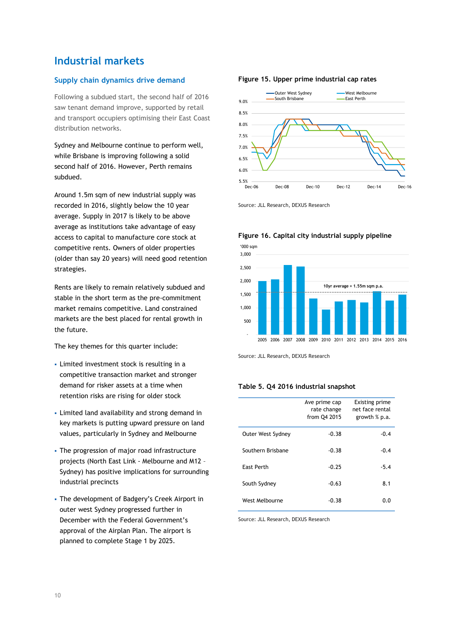## **Industrial markets**

#### **Supply chain dynamics drive demand**

Following a subdued start, the second half of 2016 saw tenant demand improve, supported by retail and transport occupiers optimising their East Coast distribution networks.

Sydney and Melbourne continue to perform well, while Brisbane is improving following a solid second half of 2016. However, Perth remains subdued.

Around 1.5m sqm of new industrial supply was recorded in 2016, slightly below the 10 year average. Supply in 2017 is likely to be above average as institutions take advantage of easy access to capital to manufacture core stock at competitive rents. Owners of older properties (older than say 20 years) will need good retention strategies.

Rents are likely to remain relatively subdued and stable in the short term as the pre-commitment market remains competitive. Land constrained markets are the best placed for rental growth in the future.

The key themes for this quarter include:

- Limited investment stock is resulting in a competitive transaction market and stronger demand for risker assets at a time when retention risks are rising for older stock
- Limited land availability and strong demand in key markets is putting upward pressure on land values, particularly in Sydney and Melbourne
- The progression of major road infrastructure projects (North East Link - Melbourne and M12 – Sydney) has positive implications for surrounding industrial precincts
- The development of Badgery's Creek Airport in outer west Sydney progressed further in December with the Federal Government's approval of the Airplan Plan. The airport is planned to complete Stage 1 by 2025.

#### **Figure 15. Upper prime industrial cap rates**



Source: JLL Research, DEXUS Research



**Figure 16. Capital city industrial supply pipeline** 

Source: JLL Research, DEXUS Research

#### **Table 5. Q4 2016 industrial snapshot**

|                   | Ave prime cap<br>rate change<br>from Q4 2015 | <b>Existing prime</b><br>net face rental<br>growth $%$ p.a. |
|-------------------|----------------------------------------------|-------------------------------------------------------------|
| Outer West Sydney | $-0.38$                                      | $-0.4$                                                      |
| Southern Brisbane | $-0.38$                                      | $-0.4$                                                      |
| East Perth        | $-0.25$                                      | $-5.4$                                                      |
| South Sydney      | $-0.63$                                      | 8.1                                                         |
| West Melbourne    | $-0.38$                                      | 0.0                                                         |

Source: JLL Research, DEXUS Research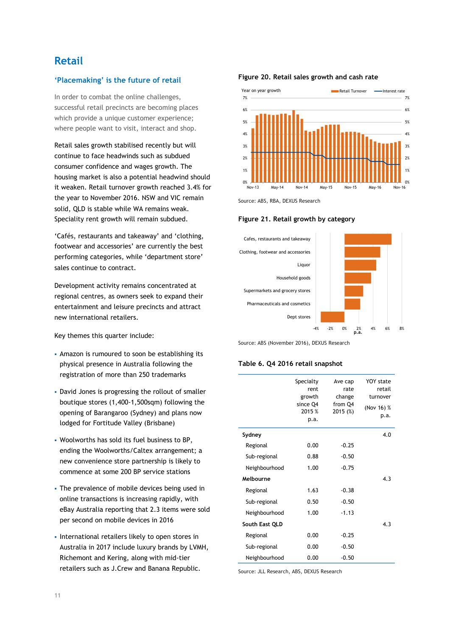## **Retail**

#### **'Placemaking' is the future of retail**

In order to combat the online challenges, successful retail precincts are becoming places which provide a unique customer experience; where people want to visit, interact and shop.

Retail sales growth stabilised recently but will continue to face headwinds such as subdued consumer confidence and wages growth. The housing market is also a potential headwind should it weaken. Retail turnover growth reached 3.4% for the year to November 2016. NSW and VIC remain solid, QLD is stable while WA remains weak. Speciality rent growth will remain subdued.

'Cafés, restaurants and takeaway' and 'clothing, footwear and accessories' are currently the best performing categories, while 'department store' sales continue to contract.

Development activity remains concentrated at regional centres, as owners seek to expand their entertainment and leisure precincts and attract new international retailers.

Key themes this quarter include:

- Amazon is rumoured to soon be establishing its physical presence in Australia following the registration of more than 250 trademarks
- David Jones is progressing the rollout of smaller boutique stores (1,400-1,500sqm) following the opening of Barangaroo (Sydney) and plans now lodged for Fortitude Valley (Brisbane)
- Woolworths has sold its fuel business to BP, ending the Woolworths/Caltex arrangement; a new convenience store partnership is likely to commence at some 200 BP service stations
- The prevalence of mobile devices being used in online transactions is increasing rapidly, with eBay Australia reporting that 2.3 items were sold per second on mobile devices in 2016
- International retailers likely to open stores in Australia in 2017 include luxury brands by LVMH, Richemont and Kering, along with mid-tier retailers such as J.Crew and Banana Republic.

#### **Figure 20. Retail sales growth and cash rate**



Source: ABS, RBA, DEXUS Research



#### **Figure 21. Retail growth by category**

Source: ABS (November 2016), DEXUS Research

#### **Table 6. Q4 2016 retail snapshot**

|                | Specialty<br>rent<br>growth<br>since Q4<br>2015 %<br>p.a. | Ave cap<br>rate<br>change<br>from Q4<br>2015 (%) | YOY state<br>retail<br>turnover<br>(Nov 16) %<br>p.a. |
|----------------|-----------------------------------------------------------|--------------------------------------------------|-------------------------------------------------------|
| Sydney         |                                                           |                                                  | 4.0                                                   |
| Regional       | 0.00                                                      | $-0.25$                                          |                                                       |
| Sub-regional   | 0.88                                                      | $-0.50$                                          |                                                       |
| Neighbourhood  | 1.00                                                      | $-0.75$                                          |                                                       |
| Melbourne      |                                                           |                                                  | 4.3                                                   |
| Regional       | 1.63                                                      | $-0.38$                                          |                                                       |
| Sub-regional   | 0.50                                                      | $-0.50$                                          |                                                       |
| Neighbourhood  | 1.00                                                      | $-1.13$                                          |                                                       |
| South East QLD |                                                           |                                                  | 4.3                                                   |
| Regional       | 0.00                                                      | $-0.25$                                          |                                                       |
| Sub-regional   | 0.00                                                      | $-0.50$                                          |                                                       |
| Neighbourhood  | 0.00                                                      | $-0.50$                                          |                                                       |

Source: JLL Research, ABS, DEXUS Research